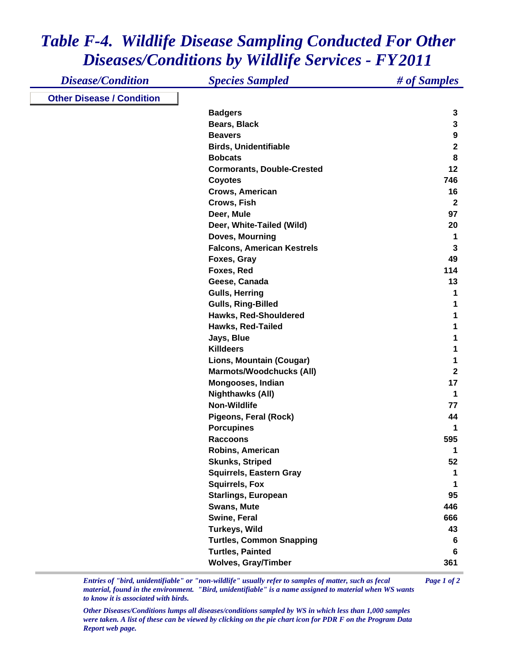## *Table F-4. Wildlife Disease Sampling Conducted For Other Diseases/Conditions by Wildlife Services - FY 2011*

| <b>Disease/Condition</b>         | <b>Species Sampled</b>            | # of Samples     |
|----------------------------------|-----------------------------------|------------------|
| <b>Other Disease / Condition</b> |                                   |                  |
|                                  | <b>Badgers</b>                    | 3                |
|                                  | Bears, Black                      | $\mathbf{3}$     |
|                                  | <b>Beavers</b>                    | 9                |
|                                  | <b>Birds, Unidentifiable</b>      | $\boldsymbol{2}$ |
|                                  | <b>Bobcats</b>                    | 8                |
|                                  | <b>Cormorants, Double-Crested</b> | 12               |
|                                  | <b>Coyotes</b>                    | 746              |
|                                  | Crows, American                   | 16               |
|                                  | Crows, Fish                       | $\mathbf{2}$     |
|                                  | Deer, Mule                        | 97               |
|                                  | Deer, White-Tailed (Wild)         | 20               |
|                                  | Doves, Mourning                   | 1                |
|                                  | <b>Falcons, American Kestrels</b> | $\mathbf{3}$     |
|                                  | Foxes, Gray                       | 49               |
|                                  | Foxes, Red                        | 114              |
|                                  | Geese, Canada                     | 13               |
|                                  | <b>Gulls, Herring</b>             | 1                |
|                                  | <b>Gulls, Ring-Billed</b>         |                  |
|                                  | Hawks, Red-Shouldered             |                  |
|                                  | Hawks, Red-Tailed                 |                  |
|                                  | Jays, Blue                        |                  |
|                                  | <b>Killdeers</b>                  |                  |
|                                  | Lions, Mountain (Cougar)          |                  |
|                                  | <b>Marmots/Woodchucks (All)</b>   | $\mathbf{2}$     |
|                                  | Mongooses, Indian                 | 17               |
|                                  | <b>Nighthawks (All)</b>           | 1                |
|                                  | <b>Non-Wildlife</b>               | 77               |
|                                  | Pigeons, Feral (Rock)             | 44               |
|                                  | <b>Porcupines</b>                 | 1                |
|                                  | <b>Raccoons</b>                   | 595              |
|                                  | Robins, American                  | 1                |
|                                  | <b>Skunks, Striped</b>            | 52               |
|                                  | <b>Squirrels, Eastern Gray</b>    |                  |
|                                  | <b>Squirrels, Fox</b>             | 1                |
|                                  | <b>Starlings, European</b>        | 95               |
|                                  | Swans, Mute                       | 446              |
|                                  | Swine, Feral                      | 666              |
|                                  | Turkeys, Wild                     | 43               |
|                                  | <b>Turtles, Common Snapping</b>   | 6                |
|                                  | <b>Turtles, Painted</b>           | 6                |
|                                  | <b>Wolves, Gray/Timber</b>        | 361              |

*Entries of "bird, unidentifiable" or "non-wildlife" usually refer to samples of matter, such as fecal Page 1 of 2 material, found in the environment. "Bird, unidentifiable" is a name assigned to material when WS wants to know it is associated with birds.* 

*Other Diseases/Conditions lumps all diseases/conditions sampled by WS in which less than 1,000 samples were taken. A list of these can be viewed by clicking on the pie chart icon for PDR F on the Program Data Report web page.*